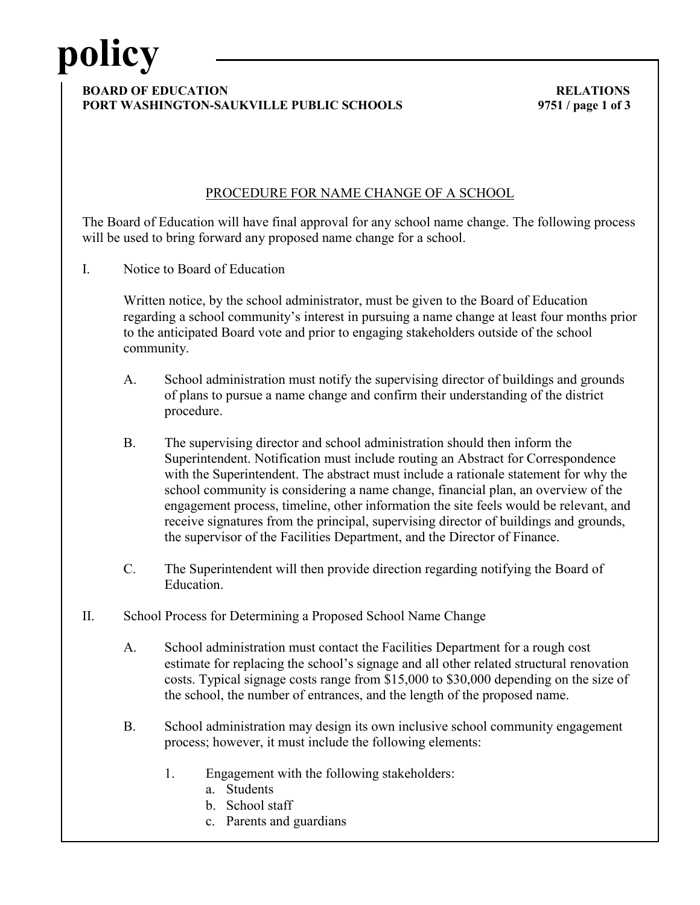# **policy**

#### **BOARD OF EDUCATION RELATIONS PORT WASHINGTON-SAUKVILLE PUBLIC SCHOOLS 9751 / page 1 of 3**

### PROCEDURE FOR NAME CHANGE OF A SCHOOL

The Board of Education will have final approval for any school name change. The following process will be used to bring forward any proposed name change for a school.

I. Notice to Board of Education

Written notice, by the school administrator, must be given to the Board of Education regarding a school community's interest in pursuing a name change at least four months prior to the anticipated Board vote and prior to engaging stakeholders outside of the school community.

- A. School administration must notify the supervising director of buildings and grounds of plans to pursue a name change and confirm their understanding of the district procedure.
- B. The supervising director and school administration should then inform the Superintendent. Notification must include routing an Abstract for Correspondence with the Superintendent. The abstract must include a rationale statement for why the school community is considering a name change, financial plan, an overview of the engagement process, timeline, other information the site feels would be relevant, and receive signatures from the principal, supervising director of buildings and grounds, the supervisor of the Facilities Department, and the Director of Finance.
- C. The Superintendent will then provide direction regarding notifying the Board of Education.
- II. School Process for Determining a Proposed School Name Change
	- A. School administration must contact the Facilities Department for a rough cost estimate for replacing the school's signage and all other related structural renovation costs. Typical signage costs range from \$15,000 to \$30,000 depending on the size of the school, the number of entrances, and the length of the proposed name.
	- B. School administration may design its own inclusive school community engagement process; however, it must include the following elements:
		- 1. Engagement with the following stakeholders:
			- a. Students
			- b. School staff
			- c. Parents and guardians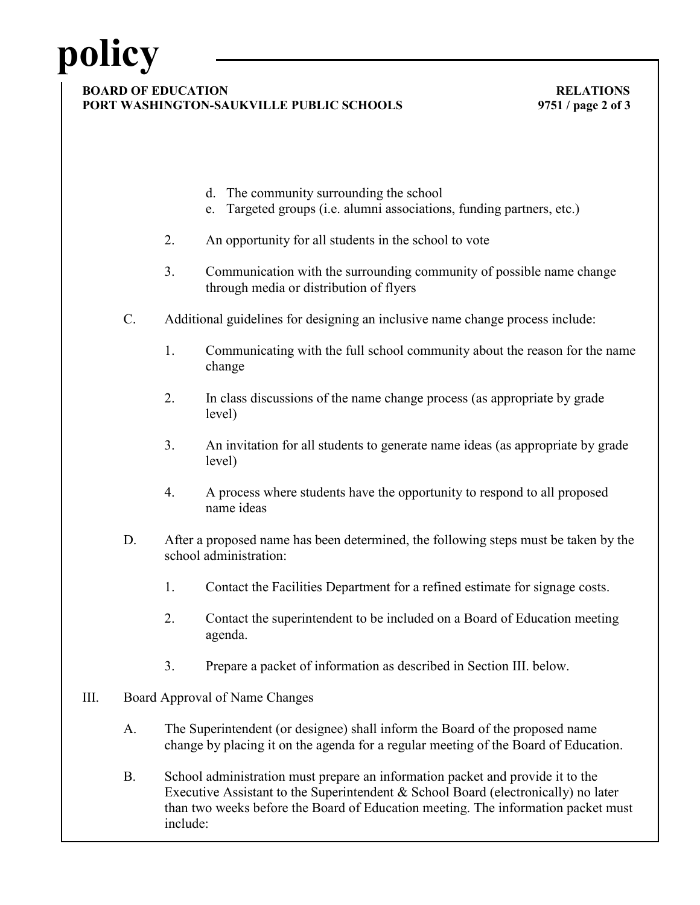# **policy**

#### **BOARD OF EDUCATION RELATIONS PORT WASHINGTON-SAUKVILLE PUBLIC SCHOOLS 9751 / page 2 of 3**

- d. The community surrounding the school
- e. Targeted groups (i.e. alumni associations, funding partners, etc.)
- 2. An opportunity for all students in the school to vote
- 3. Communication with the surrounding community of possible name change through media or distribution of flyers
- C. Additional guidelines for designing an inclusive name change process include:
	- 1. Communicating with the full school community about the reason for the name change
	- 2. In class discussions of the name change process (as appropriate by grade level)
	- 3. An invitation for all students to generate name ideas (as appropriate by grade level)
	- 4. A process where students have the opportunity to respond to all proposed name ideas
- D. After a proposed name has been determined, the following steps must be taken by the school administration:
	- 1. Contact the Facilities Department for a refined estimate for signage costs.
	- 2. Contact the superintendent to be included on a Board of Education meeting agenda.
	- 3. Prepare a packet of information as described in Section III. below.
- III. Board Approval of Name Changes
	- A. The Superintendent (or designee) shall inform the Board of the proposed name change by placing it on the agenda for a regular meeting of the Board of Education.
	- B. School administration must prepare an information packet and provide it to the Executive Assistant to the Superintendent & School Board (electronically) no later than two weeks before the Board of Education meeting. The information packet must include: